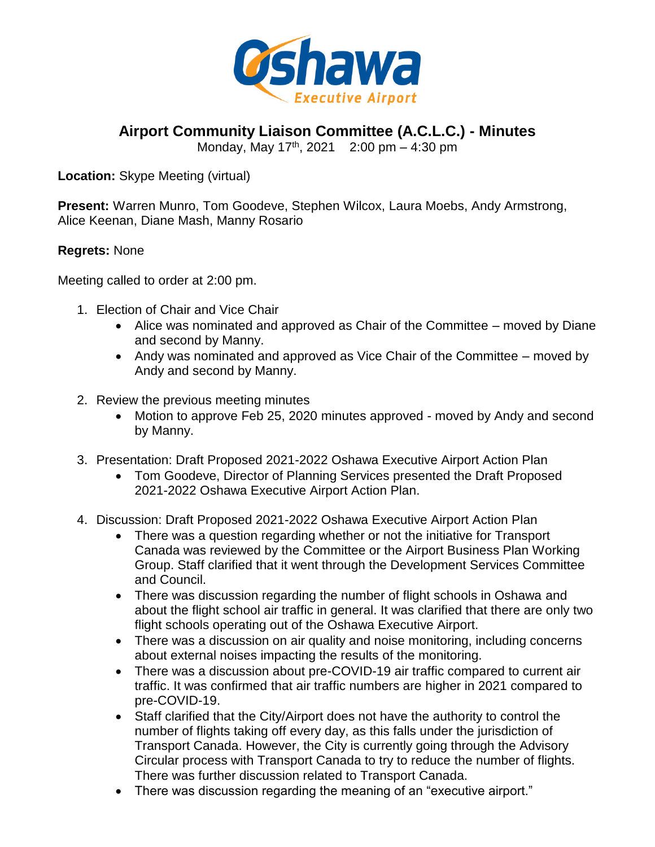

**Airport Community Liaison Committee (A.C.L.C.) - Minutes**

Monday, May 17<sup>th</sup>, 2021 2:00 pm - 4:30 pm

**Location:** Skype Meeting (virtual)

**Present:** Warren Munro, Tom Goodeve, Stephen Wilcox, Laura Moebs, Andy Armstrong, Alice Keenan, Diane Mash, Manny Rosario

## **Regrets:** None

Meeting called to order at 2:00 pm.

- 1. Election of Chair and Vice Chair
	- Alice was nominated and approved as Chair of the Committee moved by Diane and second by Manny.
	- Andy was nominated and approved as Vice Chair of the Committee moved by Andy and second by Manny.
- 2. Review the previous meeting minutes
	- Motion to approve Feb 25, 2020 minutes approved moved by Andy and second by Manny.
- 3. Presentation: Draft Proposed 2021-2022 Oshawa Executive Airport Action Plan
	- Tom Goodeve, Director of Planning Services presented the Draft Proposed 2021-2022 Oshawa Executive Airport Action Plan.
- 4. Discussion: Draft Proposed 2021-2022 Oshawa Executive Airport Action Plan
	- There was a question regarding whether or not the initiative for Transport Canada was reviewed by the Committee or the Airport Business Plan Working Group. Staff clarified that it went through the Development Services Committee and Council.
	- There was discussion regarding the number of flight schools in Oshawa and about the flight school air traffic in general. It was clarified that there are only two flight schools operating out of the Oshawa Executive Airport.
	- There was a discussion on air quality and noise monitoring, including concerns about external noises impacting the results of the monitoring.
	- There was a discussion about pre-COVID-19 air traffic compared to current air traffic. It was confirmed that air traffic numbers are higher in 2021 compared to pre-COVID-19.
	- Staff clarified that the City/Airport does not have the authority to control the number of flights taking off every day, as this falls under the jurisdiction of Transport Canada. However, the City is currently going through the Advisory Circular process with Transport Canada to try to reduce the number of flights. There was further discussion related to Transport Canada.
	- There was discussion regarding the meaning of an "executive airport."